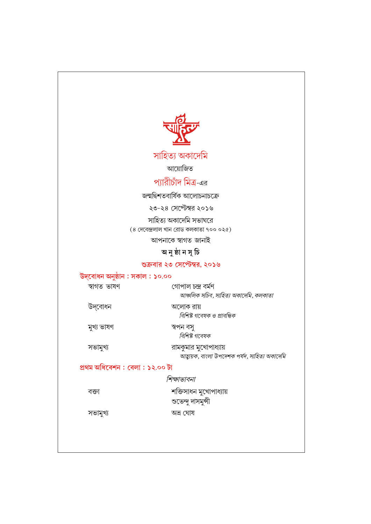|                                 | সাহিত্য অকাদেমি                                                                    |
|---------------------------------|------------------------------------------------------------------------------------|
|                                 | আয়োজিত                                                                            |
|                                 | প্যারীচাঁদ মিত্র-এর                                                                |
|                                 | জন্মদ্বিশতবাৰ্ষিক আলোচনাচক্ৰে                                                      |
|                                 | ২৩-২৪ সেপ্টেম্বর ২০১৬                                                              |
|                                 | সাহিত্য অকাদেমি সভাঘরে<br>$(8 \text{ (rcten) and } 8 \text{ (s)}$ কেনকাতা ৭০০ ০২৫) |
|                                 | আপনাকে স্বাগত জানাই                                                                |
|                                 | অ নু ষ্ঠা ন সূ চি                                                                  |
|                                 | শুক্রবার ২৩ সেপ্টেম্বর, ২০১৬                                                       |
| উদ্বোধন অনুষ্ঠান : সকাল : ১০.০০ |                                                                                    |
| স্বাগত ভাষণ                     | গোপাল চন্দ্ৰ বৰ্মণ<br>আঞ্চলিক সচিব, সাহিত্য অকাদেমি, কলকাতা                        |
| উদ্বোধন                         | অলোক রায়<br>বিশিষ্ট গবেষক ও প্রাবন্ধিক                                            |
| মুখ্য ভাষণ                      | স্বপন বসু<br>বিশিষ্ট গবেষক                                                         |
| সভামুখ্য                        | রামকুমার মুখোপাধ্যায়<br>আহ্বায়ক, বাংলা উপদেশক পর্যদ, সাহিত্য অকাদেমি             |
| প্ৰথম অধিবেশন : বেলা : ১২.০০ টা |                                                                                    |
|                                 | শিক্ষাভাবনা                                                                        |
| বক্তা                           | শক্তিসাধন মুখোপাধ্যায়<br>শুভেন্দু দাসমুন্সী                                       |
| সভামুখ্য                        | অভ্ৰ ঘোষ                                                                           |
|                                 |                                                                                    |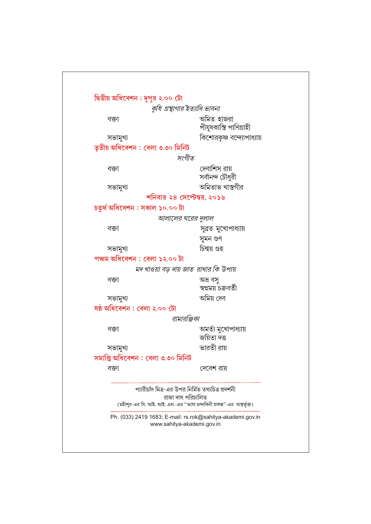দ্বিতীয় অধিবেশন : দুপুর ২.০০ টো কৃষি গ্রন্থাগার ইত্যাদি ভাবনা অমিত হাজরা বক্তা পীযুষকান্তি পাণিগ্ৰাহী কিশোরকৃষ্ণ বন্দ্যোপাধ্যায় সভামুখ্য তৃতীয় অধিবেশন : বেলা ৩.৩০ মিনিট সংগীত দেবাশিস রায় বক্তা সর্বানন্দ চৌধুরী অমিতাভ খাস্তগীর সভামুখ্য শনিবার ২৪ সেপ্টেম্বর, ২০১৬ চতুৰ্থ অধিবেশন : সকাল ১০.০০ টা আলালের ঘরের দুলাল বক্তা সুৱত মুখোপাধ্যায় সুমন গুণ চিন্ময় গুহ সভামুখ্য পঞ্চম অধিবেশন : বেলা ১২.০০ টা মদ খাওয়া বড দায় জাত রাখার কি উপায় অভ্ৰ বসু বক্তা স্বপ্নময় চক্ৰবৰ্তী অমিয় দেব সভামুখ্য ষষ্ঠ অধিবেশন : বেলা ২.০০ টো রামারঞ্জিকা অমর্ত্য মুখোপাধ্যায় বক্তা জয়িতা দত্ত ভারতী রায় সভামুখ্য সমাপ্তি অধিবেশন : বেলা ৩.৩০ মিনিট বক্তা দেবেশ রায় প্যারীচাঁদ মিত্র-এর উপর নির্মিত তথ্যচিত্র প্রদর্শনী রাজা দাস পরিচালিত (মহীশূর-এর সি. আই. আই. এল.-এর ''ভাষা মন্দাকিনী প্রকল্প"-এর অন্তর্ভুক্ত) Ph. (033) 2419 1683; E-mail: rs.rok@sahitya-akademi.gov.in www.sahitya-akademi.gov.in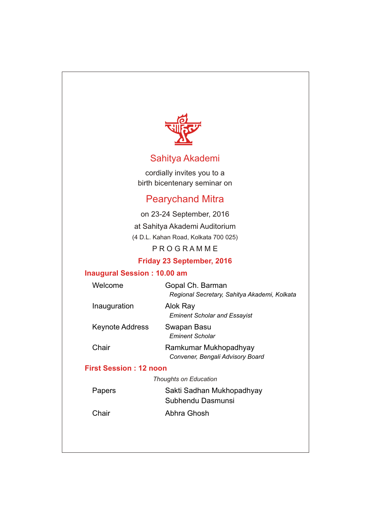

# Sahitya Akademi

cordially invites you to a birth bicentenary seminar on

# Pearychand Mitra

on 23-24 September, 2016 at Sahitya Akademi Auditorium

(4 D.L. Kahan Road, Kolkata 700 025)

P R O G R A M M E

### **Friday 23 September, 2016**

### **Inaugural Session : 10.00 am**

| Welcome                | Gopal Ch. Barman<br>Regional Secretary, Sahitya Akademi, Kolkata |
|------------------------|------------------------------------------------------------------|
| Inauguration           | Alok Ray<br><b>Eminent Scholar and Essayist</b>                  |
| <b>Keynote Address</b> | Swapan Basu<br><b>Eminent Scholar</b>                            |
| Chair                  | Ramkumar Mukhopadhyay<br>Convener, Bengali Advisory Board        |

#### **First Session : 12 noon**

*Thoughts on Education*

| Papers | Sakti Sadhan Mukhopadhyay |
|--------|---------------------------|
|        | Subhendu Dasmunsi         |
| Chair  | Abhra Ghosh               |